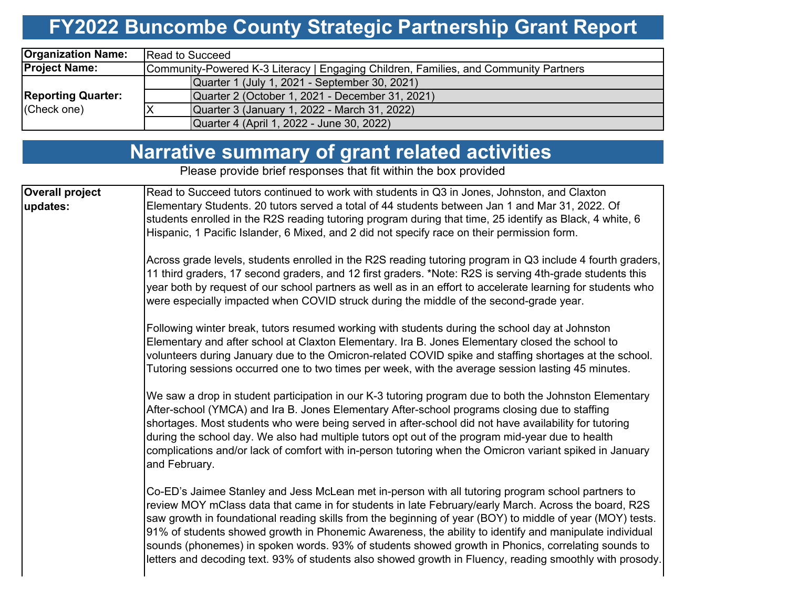# **FY2022 Buncombe County Strategic Partnership Grant Report**

| <b>Organization Name:</b> | <b>IRead to Succeed</b>                                                              |  |  |  |  |  |  |  |  |
|---------------------------|--------------------------------------------------------------------------------------|--|--|--|--|--|--|--|--|
| <b>Project Name:</b>      | Community-Powered K-3 Literacy   Engaging Children, Families, and Community Partners |  |  |  |  |  |  |  |  |
|                           | Quarter 1 (July 1, 2021 - September 30, 2021)                                        |  |  |  |  |  |  |  |  |
| <b>Reporting Quarter:</b> | Quarter 2 (October 1, 2021 - December 31, 2021)                                      |  |  |  |  |  |  |  |  |
| (Check one)               | Quarter 3 (January 1, 2022 - March 31, 2022)                                         |  |  |  |  |  |  |  |  |
|                           | Quarter 4 (April 1, 2022 - June 30, 2022)                                            |  |  |  |  |  |  |  |  |

## **Narrative summary of grant related activities**

Please provide brief responses that fit within the box provided

| Overall project | Read to Succeed tutors continued to work with students in Q3 in Jones, Johnston, and Claxton                                                                                                                                                                                                                                                                                                                                                                                                                                                                                                                                                       |
|-----------------|----------------------------------------------------------------------------------------------------------------------------------------------------------------------------------------------------------------------------------------------------------------------------------------------------------------------------------------------------------------------------------------------------------------------------------------------------------------------------------------------------------------------------------------------------------------------------------------------------------------------------------------------------|
| updates:        | Elementary Students. 20 tutors served a total of 44 students between Jan 1 and Mar 31, 2022. Of                                                                                                                                                                                                                                                                                                                                                                                                                                                                                                                                                    |
|                 | students enrolled in the R2S reading tutoring program during that time, 25 identify as Black, 4 white, 6                                                                                                                                                                                                                                                                                                                                                                                                                                                                                                                                           |
|                 | Hispanic, 1 Pacific Islander, 6 Mixed, and 2 did not specify race on their permission form.                                                                                                                                                                                                                                                                                                                                                                                                                                                                                                                                                        |
|                 | Across grade levels, students enrolled in the R2S reading tutoring program in Q3 include 4 fourth graders,<br>11 third graders, 17 second graders, and 12 first graders. *Note: R2S is serving 4th-grade students this<br>year both by request of our school partners as well as in an effort to accelerate learning for students who<br>were especially impacted when COVID struck during the middle of the second-grade year.                                                                                                                                                                                                                    |
|                 | Following winter break, tutors resumed working with students during the school day at Johnston<br>Elementary and after school at Claxton Elementary. Ira B. Jones Elementary closed the school to<br>volunteers during January due to the Omicron-related COVID spike and staffing shortages at the school.<br>Tutoring sessions occurred one to two times per week, with the average session lasting 45 minutes.                                                                                                                                                                                                                                  |
|                 | We saw a drop in student participation in our K-3 tutoring program due to both the Johnston Elementary<br>After-school (YMCA) and Ira B. Jones Elementary After-school programs closing due to staffing<br>shortages. Most students who were being served in after-school did not have availability for tutoring<br>during the school day. We also had multiple tutors opt out of the program mid-year due to health<br>complications and/or lack of comfort with in-person tutoring when the Omicron variant spiked in January<br>and February.                                                                                                   |
|                 | Co-ED's Jaimee Stanley and Jess McLean met in-person with all tutoring program school partners to<br>review MOY mClass data that came in for students in late February/early March. Across the board, R2S<br>saw growth in foundational reading skills from the beginning of year (BOY) to middle of year (MOY) tests.<br>91% of students showed growth in Phonemic Awareness, the ability to identify and manipulate individual<br>sounds (phonemes) in spoken words. 93% of students showed growth in Phonics, correlating sounds to<br>letters and decoding text. 93% of students also showed growth in Fluency, reading smoothly with prosody. |
|                 |                                                                                                                                                                                                                                                                                                                                                                                                                                                                                                                                                                                                                                                    |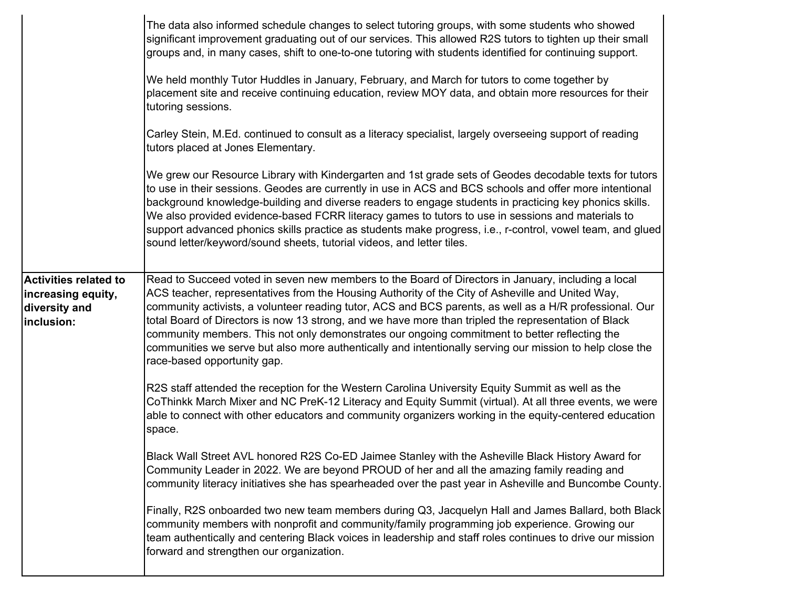|                                                                                   | The data also informed schedule changes to select tutoring groups, with some students who showed<br>significant improvement graduating out of our services. This allowed R2S tutors to tighten up their small<br>groups and, in many cases, shift to one-to-one tutoring with students identified for continuing support.<br>We held monthly Tutor Huddles in January, February, and March for tutors to come together by<br>placement site and receive continuing education, review MOY data, and obtain more resources for their<br>tutoring sessions.<br>Carley Stein, M.Ed. continued to consult as a literacy specialist, largely overseeing support of reading<br>tutors placed at Jones Elementary.<br>We grew our Resource Library with Kindergarten and 1st grade sets of Geodes decodable texts for tutors<br>to use in their sessions. Geodes are currently in use in ACS and BCS schools and offer more intentional<br>background knowledge-building and diverse readers to engage students in practicing key phonics skills.<br>We also provided evidence-based FCRR literacy games to tutors to use in sessions and materials to<br>support advanced phonics skills practice as students make progress, i.e., r-control, vowel team, and glued<br>sound letter/keyword/sound sheets, tutorial videos, and letter tiles. |
|-----------------------------------------------------------------------------------|---------------------------------------------------------------------------------------------------------------------------------------------------------------------------------------------------------------------------------------------------------------------------------------------------------------------------------------------------------------------------------------------------------------------------------------------------------------------------------------------------------------------------------------------------------------------------------------------------------------------------------------------------------------------------------------------------------------------------------------------------------------------------------------------------------------------------------------------------------------------------------------------------------------------------------------------------------------------------------------------------------------------------------------------------------------------------------------------------------------------------------------------------------------------------------------------------------------------------------------------------------------------------------------------------------------------------------------|
| <b>Activities related to</b><br>increasing equity,<br>diversity and<br>inclusion: | Read to Succeed voted in seven new members to the Board of Directors in January, including a local<br>ACS teacher, representatives from the Housing Authority of the City of Asheville and United Way,<br>community activists, a volunteer reading tutor, ACS and BCS parents, as well as a H/R professional. Our<br>total Board of Directors is now 13 strong, and we have more than tripled the representation of Black<br>community members. This not only demonstrates our ongoing commitment to better reflecting the<br>communities we serve but also more authentically and intentionally serving our mission to help close the<br>race-based opportunity gap.                                                                                                                                                                                                                                                                                                                                                                                                                                                                                                                                                                                                                                                                 |
|                                                                                   | R2S staff attended the reception for the Western Carolina University Equity Summit as well as the<br>CoThinkk March Mixer and NC PreK-12 Literacy and Equity Summit (virtual). At all three events, we were<br>able to connect with other educators and community organizers working in the equity-centered education<br>space.                                                                                                                                                                                                                                                                                                                                                                                                                                                                                                                                                                                                                                                                                                                                                                                                                                                                                                                                                                                                       |
|                                                                                   | Black Wall Street AVL honored R2S Co-ED Jaimee Stanley with the Asheville Black History Award for<br>Community Leader in 2022. We are beyond PROUD of her and all the amazing family reading and<br>community literacy initiatives she has spearheaded over the past year in Asheville and Buncombe County.                                                                                                                                                                                                                                                                                                                                                                                                                                                                                                                                                                                                                                                                                                                                                                                                                                                                                                                                                                                                                           |
|                                                                                   | Finally, R2S onboarded two new team members during Q3, Jacquelyn Hall and James Ballard, both Black<br>community members with nonprofit and community/family programming job experience. Growing our<br>team authentically and centering Black voices in leadership and staff roles continues to drive our mission<br>forward and strengthen our organization.                                                                                                                                                                                                                                                                                                                                                                                                                                                                                                                                                                                                                                                                                                                                                                                                                                                                                                                                                                        |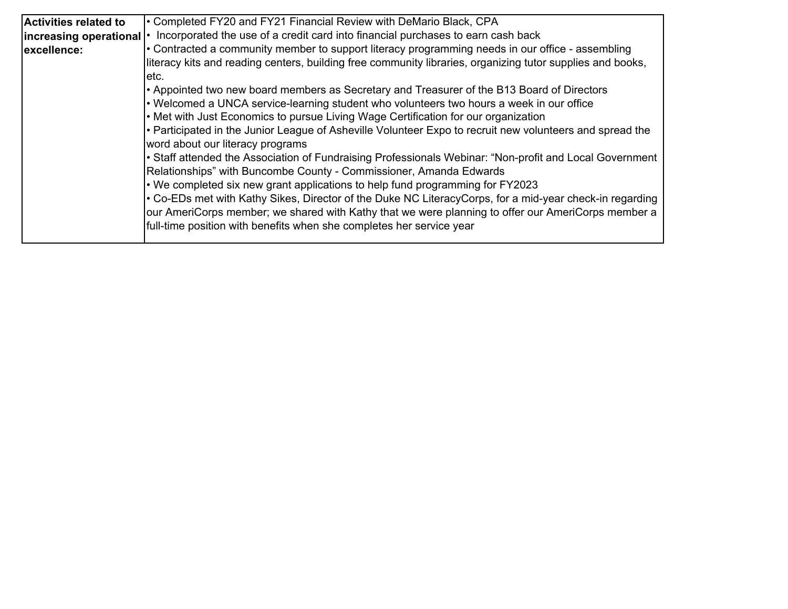| <b>Activities related to</b> | • Completed FY20 and FY21 Financial Review with DeMario Black, CPA                                         |
|------------------------------|------------------------------------------------------------------------------------------------------------|
| increasing operational   •   | Incorporated the use of a credit card into financial purchases to earn cash back                           |
| excellence:                  | • Contracted a community member to support literacy programming needs in our office - assembling           |
|                              | literacy kits and reading centers, building free community libraries, organizing tutor supplies and books, |
|                              | letc.                                                                                                      |
|                              | $\cdot$ Appointed two new board members as Secretary and Treasurer of the B13 Board of Directors           |
|                              | • Welcomed a UNCA service-learning student who volunteers two hours a week in our office                   |
|                              | • Met with Just Economics to pursue Living Wage Certification for our organization                         |
|                              | - Participated in the Junior League of Asheville Volunteer Expo to recruit new volunteers and spread the   |
|                              | word about our literacy programs                                                                           |
|                              | • Staff attended the Association of Fundraising Professionals Webinar: "Non-profit and Local Government    |
|                              | Relationships" with Buncombe County - Commissioner, Amanda Edwards                                         |
|                              | • We completed six new grant applications to help fund programming for FY2023                              |
|                              | • Co-EDs met with Kathy Sikes, Director of the Duke NC LiteracyCorps, for a mid-year check-in regarding    |
|                              | our AmeriCorps member; we shared with Kathy that we were planning to offer our AmeriCorps member a         |
|                              | full-time position with benefits when she completes her service year                                       |
|                              |                                                                                                            |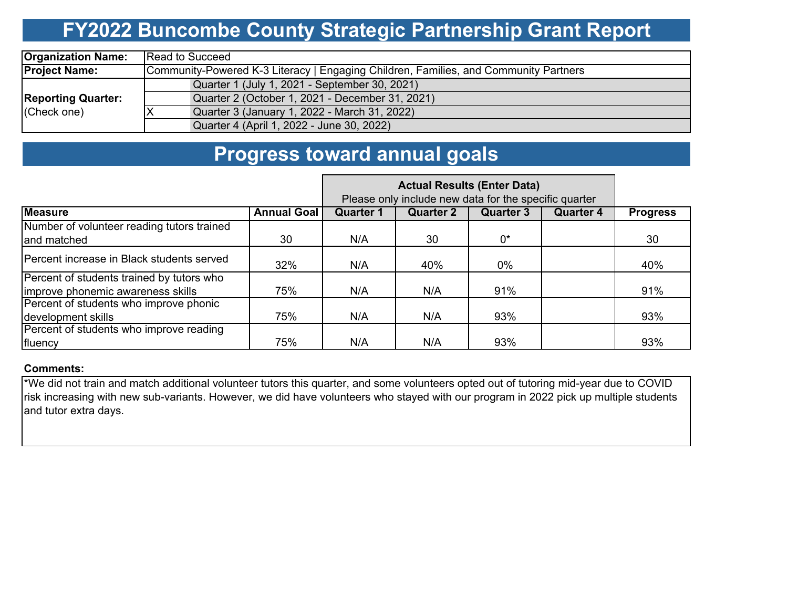## **FY2022 Buncombe County Strategic Partnership Grant Report**

| <b>Organization Name:</b>                | <b>Read to Succeed</b>                                                               |  |  |  |  |  |  |  |  |
|------------------------------------------|--------------------------------------------------------------------------------------|--|--|--|--|--|--|--|--|
| <b>Project Name:</b>                     | Community-Powered K-3 Literacy   Engaging Children, Families, and Community Partners |  |  |  |  |  |  |  |  |
|                                          | Quarter 1 (July 1, 2021 - September 30, 2021)                                        |  |  |  |  |  |  |  |  |
| <b>Reporting Quarter:</b><br>(Check one) | Quarter 2 (October 1, 2021 - December 31, 2021)                                      |  |  |  |  |  |  |  |  |
|                                          | Quarter 3 (January 1, 2022 - March 31, 2022)                                         |  |  |  |  |  |  |  |  |
|                                          | Quarter 4 (April 1, 2022 - June 30, 2022)                                            |  |  |  |  |  |  |  |  |

### **Progress toward annual goals**

|                                                                                |                    | Please only include new data for the specific quarter |                  |                  |                  |                 |
|--------------------------------------------------------------------------------|--------------------|-------------------------------------------------------|------------------|------------------|------------------|-----------------|
| <b>Measure</b>                                                                 | <b>Annual Goal</b> | <b>Quarter 1</b>                                      | <b>Quarter 2</b> | <b>Quarter 3</b> | <b>Quarter 4</b> | <b>Progress</b> |
| Number of volunteer reading tutors trained<br>and matched                      | 30                 | N/A                                                   | 30               | 0*               |                  | 30              |
| IPercent increase in Black students served                                     | 32%                | N/A                                                   | 40%              | $0\%$            |                  | 40%             |
| Percent of students trained by tutors who<br>improve phonemic awareness skills | 75%                | N/A                                                   | N/A              | 91%              |                  | 91%             |
| Percent of students who improve phonic<br>development skills                   | 75%                | N/A                                                   | N/A              | 93%              |                  | 93%             |
| Percent of students who improve reading<br>fluency                             | 75%                | N/A                                                   | N/A              | 93%              |                  | 93%             |

#### **Comments:**

\*We did not train and match additional volunteer tutors this quarter, and some volunteers opted out of tutoring mid-year due to COVID risk increasing with new sub-variants. However, we did have volunteers who stayed with our program in 2022 pick up multiple students and tutor extra days.